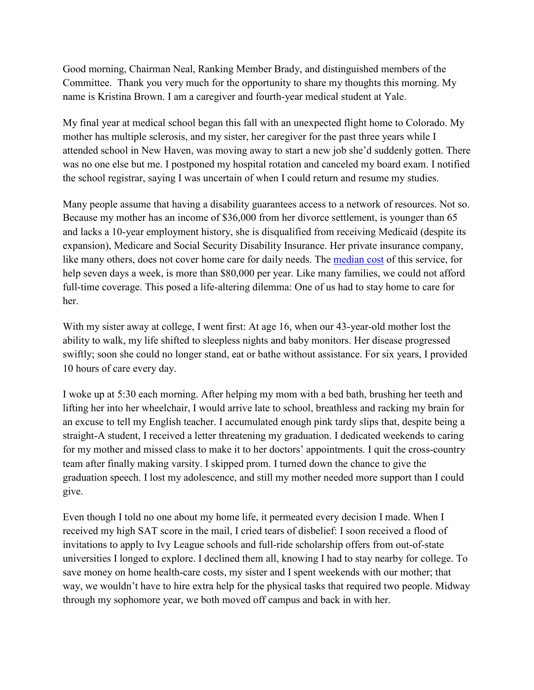Good morning, Chairman Neal, Ranking Member Brady, and distinguished members of the Committee. Thank you very much for the opportunity to share my thoughts this morning. My name is Kristina Brown. I am a caregiver and fourth-year medical student at Yale.

My final year at medical school began this fall with an unexpected flight home to Colorado. My mother has multiple sclerosis, and my sister, her caregiver for the past three years while I attended school in New Haven, was moving away to start a new job she'd suddenly gotten. There was no one else but me. I postponed my hospital rotation and canceled my board exam. I notified the school registrar, saying I was uncertain of when I could return and resume my studies.

Many people assume that having a disability guarantees access to a network of resources. Not so. Because my mother has an income of \$36,000 from her divorce settlement, is younger than 65 and lacks a 10-year employment history, she is disqualified from receiving Medicaid (despite its expansion), Medicare and Social Security Disability Insurance. Her private insurance company, like many others, does not cover home care for daily needs. The [median cost](https://www.dol.gov/whd/fmla/) of this service, for help seven days a week, is more than \$80,000 per year. Like many families, we could not afford full-time coverage. This posed a life-altering dilemma: One of us had to stay home to care for her.

With my sister away at college, I went first: At age 16, when our 43-year-old mother lost the ability to walk, my life shifted to sleepless nights and baby monitors. Her disease progressed swiftly; soon she could no longer stand, eat or bathe without assistance. For six years, I provided 10 hours of care every day.

I woke up at 5:30 each morning. After helping my mom with a bed bath, brushing her teeth and lifting her into her wheelchair, I would arrive late to school, breathless and racking my brain for an excuse to tell my English teacher. I accumulated enough pink tardy slips that, despite being a straight-A student, I received a letter threatening my graduation. I dedicated weekends to caring for my mother and missed class to make it to her doctors' appointments. I quit the cross-country team after finally making varsity. I skipped prom. I turned down the chance to give the graduation speech. I lost my adolescence, and still my mother needed more support than I could give.

Even though I told no one about my home life, it permeated every decision I made. When I received my high SAT score in the mail, I cried tears of disbelief: I soon received a flood of invitations to apply to Ivy League schools and full-ride scholarship offers from out-of-state universities I longed to explore. I declined them all, knowing I had to stay nearby for college. To save money on home health-care costs, my sister and I spent weekends with our mother; that way, we wouldn't have to hire extra help for the physical tasks that required two people. Midway through my sophomore year, we both moved off campus and back in with her.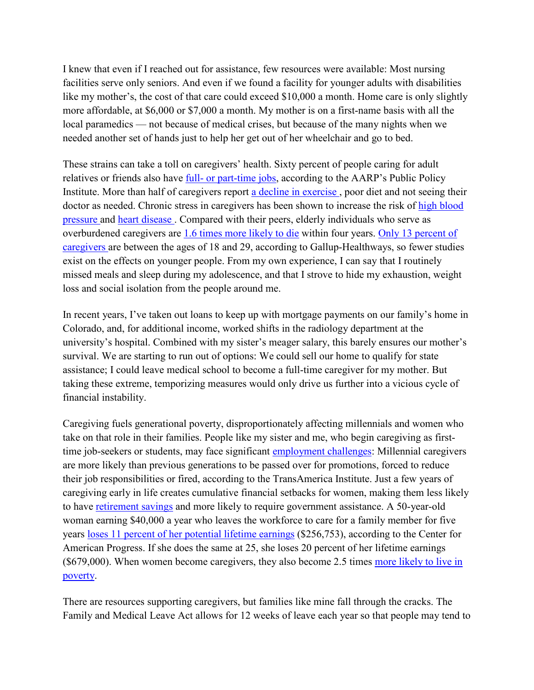I knew that even if I reached out for assistance, few resources were available: Most nursing facilities serve only seniors. And even if we found a facility for younger adults with disabilities like my mother's, the cost of that care could exceed \$10,000 a month. Home care is only slightly more affordable, at \$6,000 or \$7,000 a month. My mother is on a first-name basis with all the local paramedics — not because of medical crises, but because of the many nights when we needed another set of hands just to help her get out of her wheelchair and go to bed.

These strains can take a toll on caregivers' health. Sixty percent of people caring for adult relatives or friends also have full- [or part-time jobs,](https://www.aarp.org/content/dam/aarp/ppi/2016-03/The-Dual-Pressures-off-Family-Caregiving-and-Employment.pdf) according to the AARP's Public Policy Institute. More than half of caregivers report [a decline in exercise ,](https://www.caregiving.org/data/Caregivers%20in%20Decline%20Study-FINAL-lowres.pdf) poor diet and not seeing their doctor as needed. Chronic stress in caregivers has been shown to increase the risk of high blood [pressure a](https://urldefense.proofpoint.com/v2/url?u=https-3A__www.ncbi.nlm.nih.gov_pubmed_7963275&d=DwMF-g&c=RAhzPLrCAq19eJdrcQiUVEwFYoMRqGDAXQ_puw5tYjg&r=mc0JjKrzQmOj70VdswFYXbkxIjkILfV5oA16bO5I0Lk&m=9wS5KmxmaAmh0GlhSTOPYdJwjg1434HmWZfEtZpnFvA&s=ZaPV4O8yly2_QiXDUPy0NbjCLPL2OOrCp9hWs2lFyn4&e=)nd [heart disease .](https://urldefense.proofpoint.com/v2/url?u=https-3A__www.ncbi.nlm.nih.gov_pubmed_10193912&d=DwMF-g&c=RAhzPLrCAq19eJdrcQiUVEwFYoMRqGDAXQ_puw5tYjg&r=mc0JjKrzQmOj70VdswFYXbkxIjkILfV5oA16bO5I0Lk&m=9wS5KmxmaAmh0GlhSTOPYdJwjg1434HmWZfEtZpnFvA&s=tJUMjSGjWVj0cVH74C_xn3G9HPF6J5gEH6vs_O2dywc&e=) Compared with their peers, elderly individuals who serve as overburdened caregivers are [1.6 times more likely to die](https://urldefense.proofpoint.com/v2/url?u=https-3A__jamanetwork.com_journals_jama_fullarticle_192209&d=DwMF-g&c=RAhzPLrCAq19eJdrcQiUVEwFYoMRqGDAXQ_puw5tYjg&r=mc0JjKrzQmOj70VdswFYXbkxIjkILfV5oA16bO5I0Lk&m=9wS5KmxmaAmh0GlhSTOPYdJwjg1434HmWZfEtZpnFvA&s=2TM2DZlBYQVEjGThvu6g6JkHTlyWNdplQircrhtLMoY&e=) within four years. [Only 13 percent of](https://www.caregiver.org/caregiver-statistics-work-and-caregiving)  [caregivers](https://www.caregiver.org/caregiver-statistics-work-and-caregiving) are between the ages of 18 and 29, according to Gallup-Healthways, so fewer studies exist on the effects on younger people. From my own experience, I can say that I routinely missed meals and sleep during my adolescence, and that I strove to hide my exhaustion, weight loss and social isolation from the people around me.

In recent years, I've taken out loans to keep up with mortgage payments on our family's home in Colorado, and, for additional income, worked shifts in the radiology department at the university's hospital. Combined with my sister's meager salary, this barely ensures our mother's survival. We are starting to run out of options: We could sell our home to qualify for state assistance; I could leave medical school to become a full-time caregiver for my mother. But taking these extreme, temporizing measures would only drive us further into a vicious cycle of financial instability.

Caregiving fuels generational poverty, disproportionately affecting millennials and women who take on that role in their families. People like my sister and me, who begin caregiving as firsttime job-seekers or students, may face significant [employment challenges:](https://www.transamericainstitute.org/docs/default-source/caregivers-research/the-many-faces-of-caregivers-research-report-2017.pdf) Millennial caregivers are more likely than previous generations to be passed over for promotions, forced to reduce their job responsibilities or fired, according to the TransAmerica Institute. Just a few years of caregiving early in life creates cumulative financial setbacks for women, making them less likely to have [retirement savings](https://www.marketwatch.com/story/the-heartbreaking-stories-of-some-of-americas-435-million-unpaid-adult-caregivers-2018-07-20) and more likely to require government assistance. A 50-year-old woman earning \$40,000 a year who leaves the workforce to care for a family member for five years [loses 11 percent of her potential lifetime earnings](https://urldefense.proofpoint.com/v2/url?u=http-3A__interactives.americanprogress.org_childcarecosts_&d=DwMF-g&c=RAhzPLrCAq19eJdrcQiUVEwFYoMRqGDAXQ_puw5tYjg&r=mc0JjKrzQmOj70VdswFYXbkxIjkILfV5oA16bO5I0Lk&m=9wS5KmxmaAmh0GlhSTOPYdJwjg1434HmWZfEtZpnFvA&s=yWNpbkpFGHZ7MSVII17fIhnYACubBpEAFdQrFFUhHrw&e=) (\$256,753), according to the Center for American Progress. If she does the same at 25, she loses 20 percent of her lifetime earnings (\$679,000). When women become caregivers, they also become 2.5 times [more likely to live in](https://caregiveraction.org/resources/caregiver-statistics)  [poverty.](https://caregiveraction.org/resources/caregiver-statistics)

There are resources supporting caregivers, but families like mine fall through the cracks. The Family and Medical Leave Act allows for 12 weeks of leave each year so that people may tend to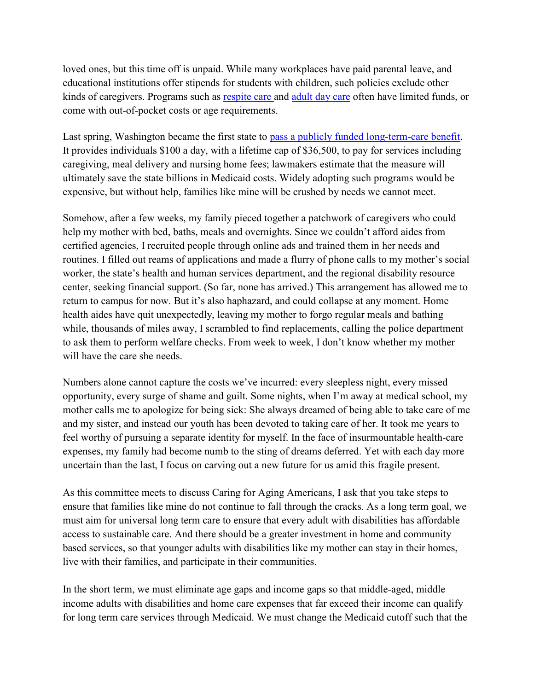loved ones, but this time off is unpaid. While many workplaces have paid parental leave, and educational institutions offer stipends for students with children, such policies exclude other kinds of caregivers. Programs such as [respite care a](http://denverregion.co.networkofcare.org/aging/services/agency.aspx?pid=CityandCountyofBroomfieldSeniorServicesCaregiverRespiteProgram_965_1_0)nd [adult day care](http://denverregion.co.networkofcare.org/aging/services/agency.aspx?pid=SeniorHubTheAdultDayServiceProgram_965_1_0) often have limited funds, or come with out-of-pocket costs or age requirements.

Last spring, Washington became the first state to [pass a publicly funded long-term-care benefit.](https://theintercept.com/2019/04/26/washington-state-long-term-care/) It provides individuals \$100 a day, with a lifetime cap of \$36,500, to pay for services including caregiving, meal delivery and nursing home fees; lawmakers estimate that the measure will ultimately save the state billions in Medicaid costs. Widely adopting such programs would be expensive, but without help, families like mine will be crushed by needs we cannot meet.

Somehow, after a few weeks, my family pieced together a patchwork of caregivers who could help my mother with bed, baths, meals and overnights. Since we couldn't afford aides from certified agencies, I recruited people through online ads and trained them in her needs and routines. I filled out reams of applications and made a flurry of phone calls to my mother's social worker, the state's health and human services department, and the regional disability resource center, seeking financial support. (So far, none has arrived.) This arrangement has allowed me to return to campus for now. But it's also haphazard, and could collapse at any moment. Home health aides have quit unexpectedly, leaving my mother to forgo regular meals and bathing while, thousands of miles away, I scrambled to find replacements, calling the police department to ask them to perform welfare checks. From week to week, I don't know whether my mother will have the care she needs.

Numbers alone cannot capture the costs we've incurred: every sleepless night, every missed opportunity, every surge of shame and guilt. Some nights, when I'm away at medical school, my mother calls me to apologize for being sick: She always dreamed of being able to take care of me and my sister, and instead our youth has been devoted to taking care of her. It took me years to feel worthy of pursuing a separate identity for myself. In the face of insurmountable health-care expenses, my family had become numb to the sting of dreams deferred. Yet with each day more uncertain than the last, I focus on carving out a new future for us amid this fragile present.

As this committee meets to discuss Caring for Aging Americans, I ask that you take steps to ensure that families like mine do not continue to fall through the cracks. As a long term goal, we must aim for universal long term care to ensure that every adult with disabilities has affordable access to sustainable care. And there should be a greater investment in home and community based services, so that younger adults with disabilities like my mother can stay in their homes, live with their families, and participate in their communities.

In the short term, we must eliminate age gaps and income gaps so that middle-aged, middle income adults with disabilities and home care expenses that far exceed their income can qualify for long term care services through Medicaid. We must change the Medicaid cutoff such that the